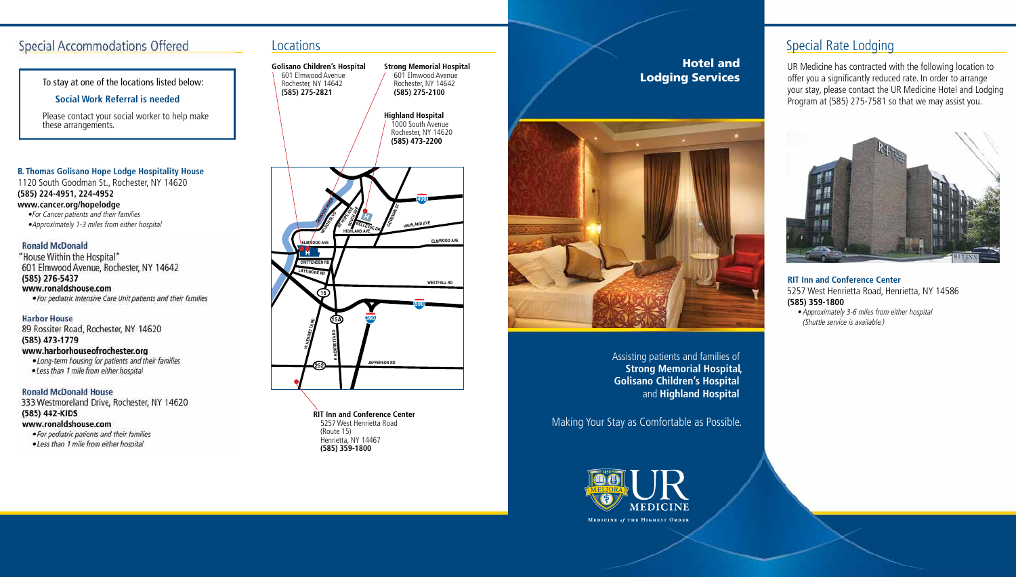Making Your Stay as Comfortable as Possible.



Assisting patients and families of **Strong Memorial Hospital, Golisano Children's Hospital** and **Highland Hospital** 

## Hotel and Lodging Services



**RIT Inn and Conference Center** 5257 West Henrietta Road (Route 15) Henrietta, NY 14467 **(585) 359-1800**

# Special Rate Lodging



UR Medicine has contracted with the following location to offer you a significantly reduced rate. In order to arrange your stay, please contact the UR Medicine Hotel and Lodging Program at (585) 275-7581 so that we may assist you.



### **RIT Inn and Conference Center** 5257 West Henrietta Road, Henrietta, NY 14586 **(585) 359-1800**

• Approximately 3-6 miles from either hospital (Shuttle service is available.)

# **Special Accommodations Offered**

To stay at one of the locations listed below:

### **Social Work Referral is needed**

Please contact your social worker to help make these arrangements.

### **B. Thomas Golisano Hope Lodge Hospitality House**

1120 South Goodman St., Rochester, NY 14620 **(585) 224-4951, 224-4952 www.cancer.org/hopelodge**

•For Cancer patients and their families

•Approximately 1-3 miles from either hospital

### **Ronald McDonald**

"House Within the Hospital" 601 Elmwood Avenue, Rochester, NY 14642 (585) 276-5437 www.ronaldshouse.com · For pediatric Intensive Care Unit patients and their families

**Harbor House** 89 Rossiter Road, Rochester, NY 14620

(585) 473-1779

## www.harborhouseofrochester.org

. Long-term housing for patients and their families . Less than 1 mile from either hospital

### **Ronald McDonald House**

333 Westmoreland Drive, Rochester, NY 14620 (585) 442-KIDS www.ronaldshouse.com · For pediatric patients and their families

· Less than 1 mile from either hospital

## **Locations**